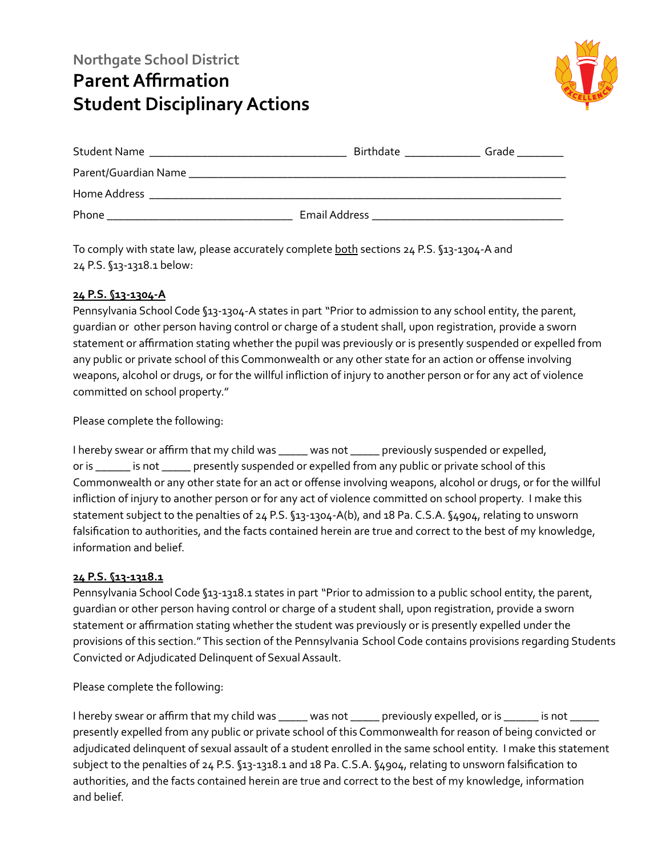## **Northgate School District Parent Affirmation Student Disciplinary Actions**



|                      | Birthdate                                                                    | Grade |
|----------------------|------------------------------------------------------------------------------|-------|
| Parent/Guardian Name |                                                                              |       |
| Home Address         |                                                                              |       |
| Phone                | Email Address<br><u> 1989 - Johann Stoff, amerikansk politiker (d. 1989)</u> |       |

To comply with state law, please accurately complete both sections 24 P.S. §13-1304-A and 24 P.S. §13-1318.1 below:

## **24 P.S. §13-1304-A**

Pennsylvania School Code §13-1304-A states in part "Prior to admission to any school entity, the parent, guardian or other person having control or charge of a student shall, upon registration, provide a sworn statement or affirmation stating whether the pupil was previously or is presently suspended or expelled from any public or private school of this Commonwealth or any other state for an action or offense involving weapons, alcohol or drugs, or for the willful infliction of injury to another person or for any act of violence committed on school property."

Please complete the following:

I hereby swear or affirm that my child was \_\_\_\_\_ was not \_\_\_\_\_ previously suspended or expelled, or is \_\_\_\_\_\_ is not \_\_\_\_\_ presently suspended or expelled from any public or private school of this Commonwealth or any other state for an act or offense involving weapons, alcohol or drugs, or for the willful infliction of injury to another person or for any act of violence committed on school property. I make this statement subject to the penalties of 24 P.S. §13-1304-A(b), and 18 Pa. C.S.A. §4904, relating to unsworn falsification to authorities, and the facts contained herein are true and correct to the best of my knowledge, information and belief.

## **24 P.S. §13-1318.1**

Pennsylvania School Code §13-1318.1 states in part "Prior to admission to a public school entity, the parent, guardian or other person having control or charge of a student shall, upon registration, provide a sworn statement or affirmation stating whether the student was previously or is presently expelled under the provisions of this section."This section of the Pennsylvania School Code contains provisions regarding Students Convicted or Adjudicated Delinquent of Sexual Assault.

Please complete the following:

I hereby swear or affirm that my child was \_\_\_\_\_ was not \_\_\_\_\_ previously expelled, or is \_\_\_\_\_ is not \_\_\_\_\_ presently expelled from any public or private school of this Commonwealth for reason of being convicted or adjudicated delinquent of sexual assault of a student enrolled in the same school entity. I make this statement subject to the penalties of 24 P.S. §13-1318.1 and 18 Pa. C.S.A. §4904, relating to unsworn falsification to authorities, and the facts contained herein are true and correct to the best of my knowledge, information and belief.